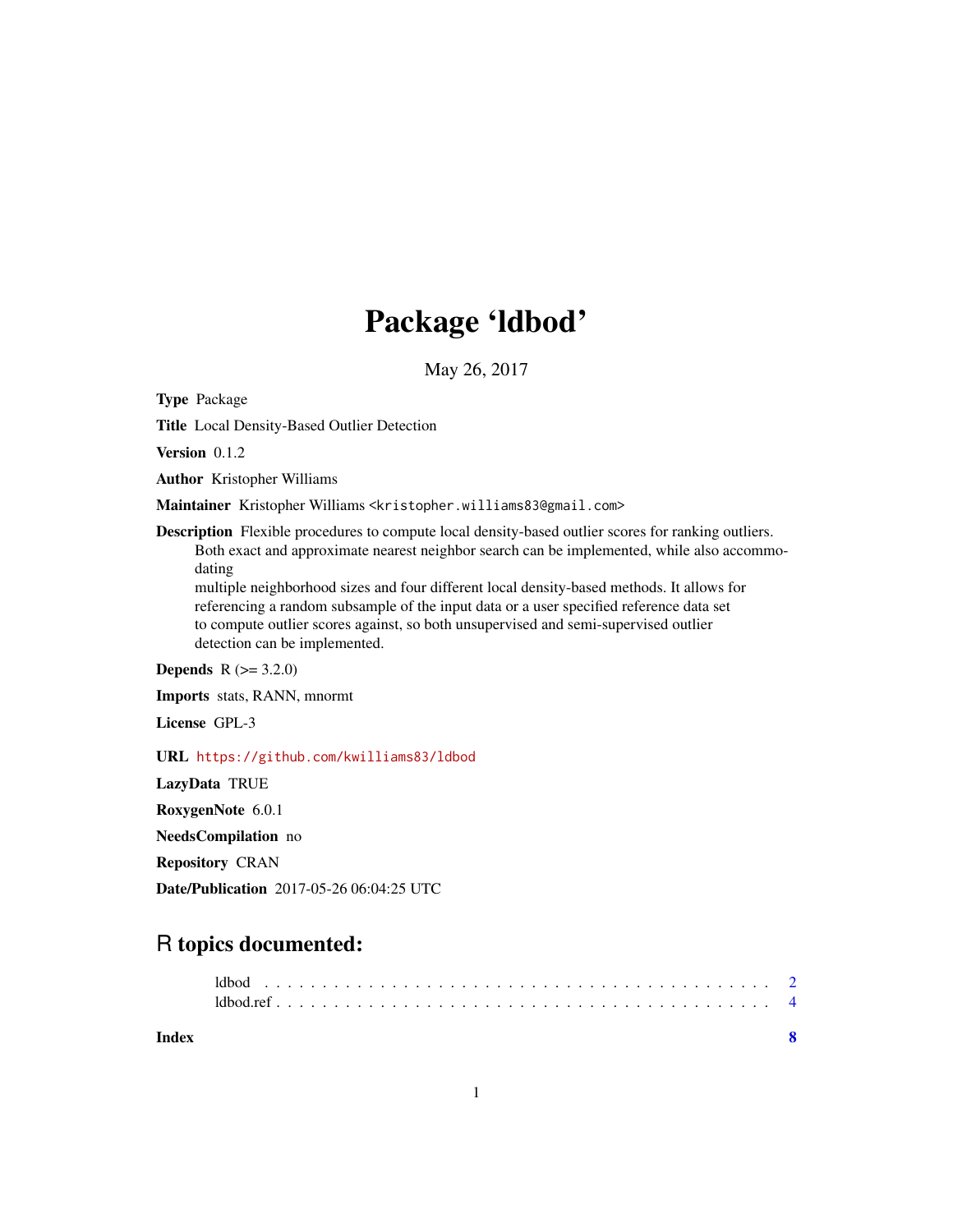## Package 'ldbod'

May 26, 2017

Type Package

Title Local Density-Based Outlier Detection

Version 0.1.2

Author Kristopher Williams

Maintainer Kristopher Williams <kristopher.williams83@gmail.com>

Description Flexible procedures to compute local density-based outlier scores for ranking outliers. Both exact and approximate nearest neighbor search can be implemented, while also accommodating

multiple neighborhood sizes and four different local density-based methods. It allows for referencing a random subsample of the input data or a user specified reference data set to compute outlier scores against, so both unsupervised and semi-supervised outlier detection can be implemented.

**Depends**  $R (= 3.2.0)$ 

Imports stats, RANN, mnormt

License GPL-3

URL <https://github.com/kwilliams83/ldbod>

LazyData TRUE

RoxygenNote 6.0.1

NeedsCompilation no

Repository CRAN

Date/Publication 2017-05-26 06:04:25 UTC

### R topics documented:

| Index |  |  |  |  |  |  |  |  |  |  |  |  |  |  |  |  |  |  |  |  |
|-------|--|--|--|--|--|--|--|--|--|--|--|--|--|--|--|--|--|--|--|--|
|       |  |  |  |  |  |  |  |  |  |  |  |  |  |  |  |  |  |  |  |  |
|       |  |  |  |  |  |  |  |  |  |  |  |  |  |  |  |  |  |  |  |  |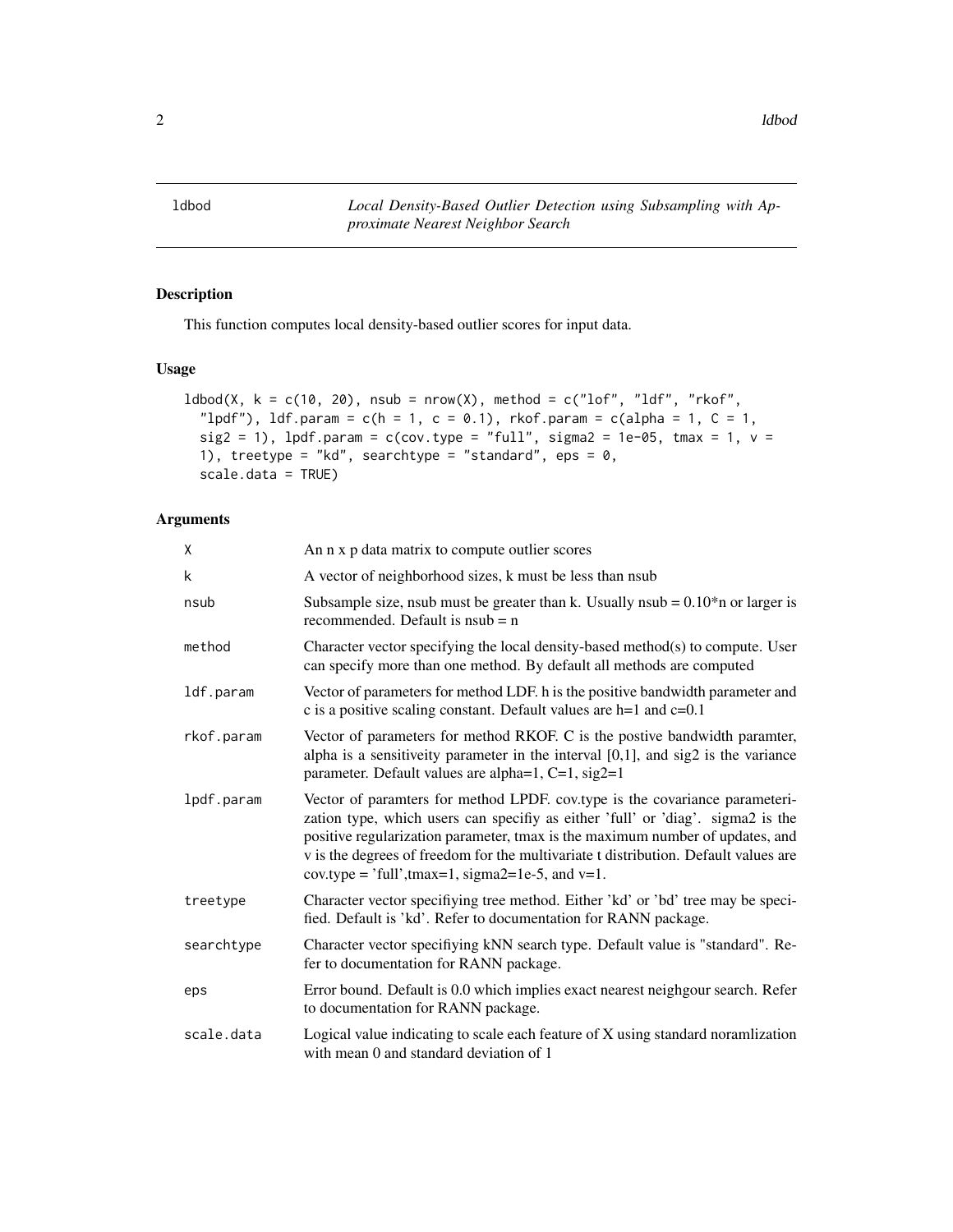<span id="page-1-0"></span> $2$  ldbod  $\blacksquare$ 

ldbod *Local Density-Based Outlier Detection using Subsampling with Approximate Nearest Neighbor Search*

#### Description

This function computes local density-based outlier scores for input data.

#### Usage

```
ldbod(X, k = c(10, 20), nsub = nrow(X), method = c("lof", "ldf", "rkof","lpdf"), ldf.param = c(h = 1, c = 0.1), rkof.param = c(alpha = 1, c = 1,sig2 = 1), lpdf.param = c(cov.type = "full", sigma2 = 1e-05, tmax = 1, v =1), treetype = "kd", searchtype = "standard", eps = 0,
  scale.data = TRUE)
```
#### Arguments

| χ          | An n x p data matrix to compute outlier scores                                                                                                                                                                                                                                                                                                                                                |
|------------|-----------------------------------------------------------------------------------------------------------------------------------------------------------------------------------------------------------------------------------------------------------------------------------------------------------------------------------------------------------------------------------------------|
| k          | A vector of neighborhood sizes, k must be less than nsub                                                                                                                                                                                                                                                                                                                                      |
| nsub       | Subsample size, nsub must be greater than k. Usually nsub = $0.10*$ n or larger is<br>recommended. Default is $nsub = n$                                                                                                                                                                                                                                                                      |
| method     | Character vector specifying the local density-based method(s) to compute. User<br>can specify more than one method. By default all methods are computed                                                                                                                                                                                                                                       |
| ldf.param  | Vector of parameters for method LDF. h is the positive bandwidth parameter and<br>c is a positive scaling constant. Default values are $h=1$ and $c=0.1$                                                                                                                                                                                                                                      |
| rkof.param | Vector of parameters for method RKOF. C is the postive bandwidth paramter,<br>alpha is a sensitively parameter in the interval $[0,1]$ , and sig2 is the variance<br>parameter. Default values are alpha=1, C=1, sig2=1                                                                                                                                                                       |
| lpdf.param | Vector of paramters for method LPDF. cov.type is the covariance parameteri-<br>zation type, which users can specifiy as either 'full' or 'diag'. sigma2 is the<br>positive regularization parameter, tmax is the maximum number of updates, and<br>v is the degrees of freedom for the multivariate t distribution. Default values are<br>cov.type = 'full', tmax=1, sigma2=1e-5, and $v=1$ . |
| treetype   | Character vector specifiying tree method. Either 'kd' or 'bd' tree may be speci-<br>fied. Default is 'kd'. Refer to documentation for RANN package.                                                                                                                                                                                                                                           |
| searchtype | Character vector specifiying kNN search type. Default value is "standard". Re-<br>fer to documentation for RANN package.                                                                                                                                                                                                                                                                      |
| eps        | Error bound. Default is 0.0 which implies exact nearest neighgour search. Refer<br>to documentation for RANN package.                                                                                                                                                                                                                                                                         |
| scale.data | Logical value indicating to scale each feature of X using standard noramlization<br>with mean 0 and standard deviation of 1                                                                                                                                                                                                                                                                   |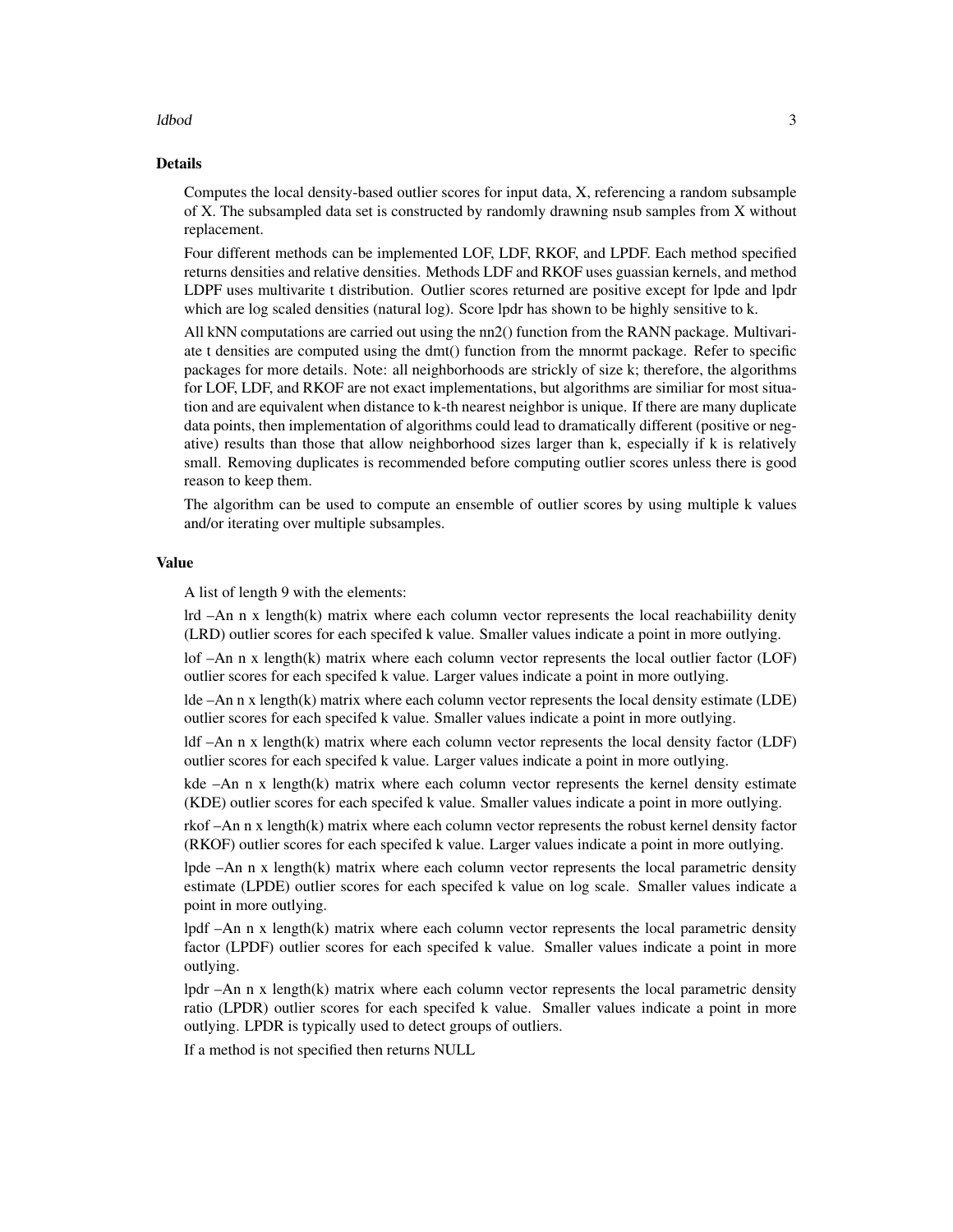#### ldbod 3

#### Details

Computes the local density-based outlier scores for input data, X, referencing a random subsample of X. The subsampled data set is constructed by randomly drawning nsub samples from X without replacement.

Four different methods can be implemented LOF, LDF, RKOF, and LPDF. Each method specified returns densities and relative densities. Methods LDF and RKOF uses guassian kernels, and method LDPF uses multivarite t distribution. Outlier scores returned are positive except for lpde and lpdr which are log scaled densities (natural log). Score lpdr has shown to be highly sensitive to k.

All kNN computations are carried out using the nn2() function from the RANN package. Multivariate t densities are computed using the dmt() function from the mnormt package. Refer to specific packages for more details. Note: all neighborhoods are strickly of size k; therefore, the algorithms for LOF, LDF, and RKOF are not exact implementations, but algorithms are similiar for most situation and are equivalent when distance to k-th nearest neighbor is unique. If there are many duplicate data points, then implementation of algorithms could lead to dramatically different (positive or negative) results than those that allow neighborhood sizes larger than k, especially if k is relatively small. Removing duplicates is recommended before computing outlier scores unless there is good reason to keep them.

The algorithm can be used to compute an ensemble of outlier scores by using multiple k values and/or iterating over multiple subsamples.

#### Value

A list of length 9 with the elements:

lrd –An n x length(k) matrix where each column vector represents the local reachabiility denity (LRD) outlier scores for each specifed k value. Smaller values indicate a point in more outlying.

lof –An n x length(k) matrix where each column vector represents the local outlier factor (LOF) outlier scores for each specifed k value. Larger values indicate a point in more outlying.

lde –An n x length(k) matrix where each column vector represents the local density estimate (LDE) outlier scores for each specifed k value. Smaller values indicate a point in more outlying.

ldf –An n x length(k) matrix where each column vector represents the local density factor (LDF) outlier scores for each specifed k value. Larger values indicate a point in more outlying.

kde –An n x length(k) matrix where each column vector represents the kernel density estimate (KDE) outlier scores for each specifed k value. Smaller values indicate a point in more outlying.

rkof –An n x length(k) matrix where each column vector represents the robust kernel density factor (RKOF) outlier scores for each specifed k value. Larger values indicate a point in more outlying.

lpde –An n x length(k) matrix where each column vector represents the local parametric density estimate (LPDE) outlier scores for each specifed k value on log scale. Smaller values indicate a point in more outlying.

lpdf –An n x length(k) matrix where each column vector represents the local parametric density factor (LPDF) outlier scores for each specifed k value. Smaller values indicate a point in more outlying.

lpdr –An n x length(k) matrix where each column vector represents the local parametric density ratio (LPDR) outlier scores for each specifed k value. Smaller values indicate a point in more outlying. LPDR is typically used to detect groups of outliers.

If a method is not specified then returns NULL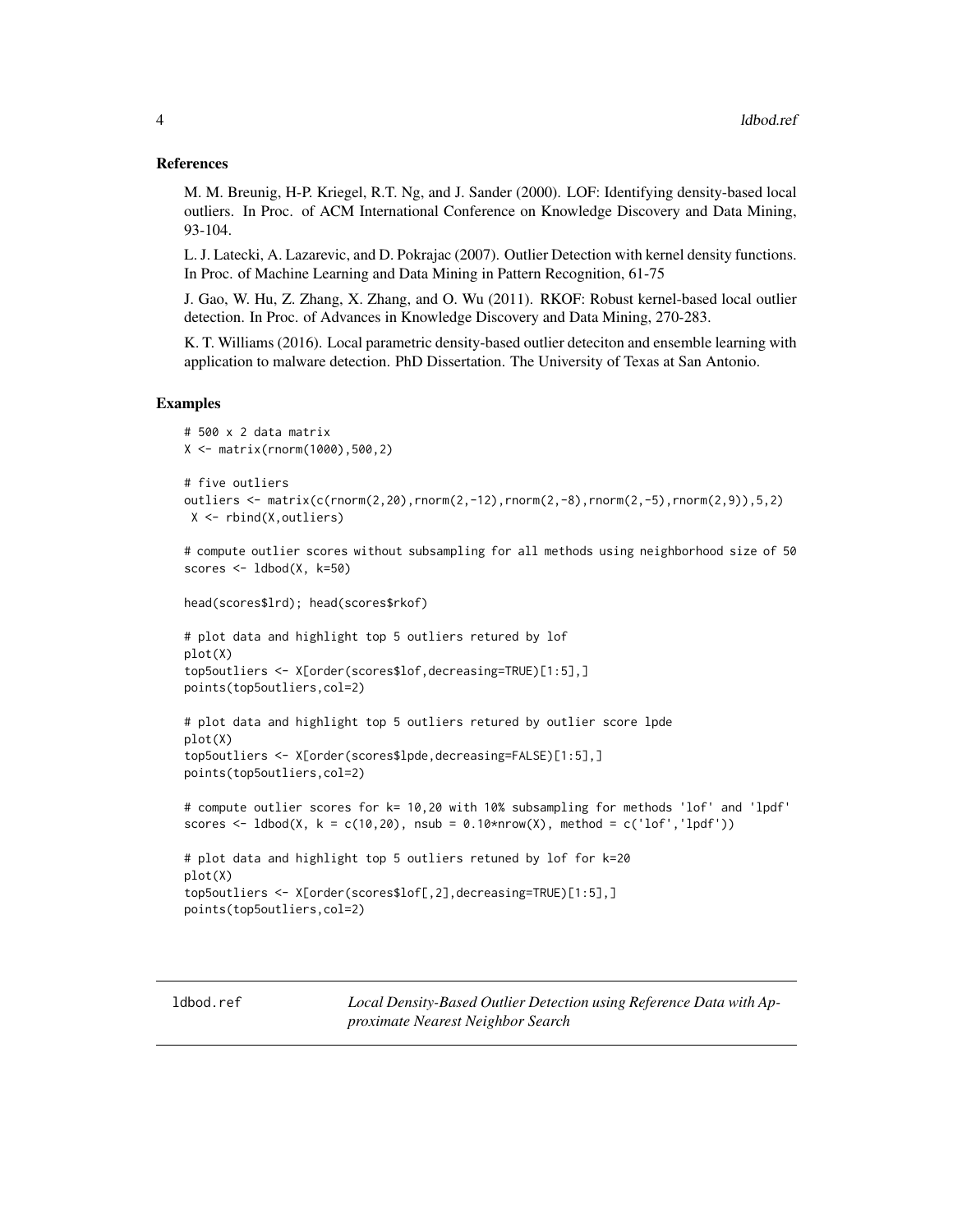#### <span id="page-3-0"></span>References

M. M. Breunig, H-P. Kriegel, R.T. Ng, and J. Sander (2000). LOF: Identifying density-based local outliers. In Proc. of ACM International Conference on Knowledge Discovery and Data Mining, 93-104.

L. J. Latecki, A. Lazarevic, and D. Pokrajac (2007). Outlier Detection with kernel density functions. In Proc. of Machine Learning and Data Mining in Pattern Recognition, 61-75

J. Gao, W. Hu, Z. Zhang, X. Zhang, and O. Wu (2011). RKOF: Robust kernel-based local outlier detection. In Proc. of Advances in Knowledge Discovery and Data Mining, 270-283.

K. T. Williams (2016). Local parametric density-based outlier deteciton and ensemble learning with application to malware detection. PhD Dissertation. The University of Texas at San Antonio.

#### Examples

```
# 500 x 2 data matrix
X <- matrix(rnorm(1000),500,2)
# five outliers
outliers \leq matrix(c(rnorm(2,20),rnorm(2,-12),rnorm(2,-8),rnorm(2,-5),rnorm(2,9)),5,2)
X <- rbind(X,outliers)
# compute outlier scores without subsampling for all methods using neighborhood size of 50
scores <- ldbod(X, k=50)head(scores$lrd); head(scores$rkof)
# plot data and highlight top 5 outliers retured by lof
plot(X)
top5outliers <- X[order(scores$lof,decreasing=TRUE)[1:5],]
points(top5outliers,col=2)
# plot data and highlight top 5 outliers retured by outlier score lpde
plot(X)
top5outliers <- X[order(scores$lpde,decreasing=FALSE)[1:5],]
points(top5outliers,col=2)
# compute outlier scores for k= 10,20 with 10% subsampling for methods 'lof' and 'lpdf'
scores \le -1dbod(X, k = c(10, 20), nsub = 0.10*nrow(X), method = c('lof','lpdf'))
# plot data and highlight top 5 outliers retuned by lof for k=20
plot(X)
top5outliers <- X[order(scores$lof[,2],decreasing=TRUE)[1:5],]
points(top5outliers,col=2)
```
ldbod.ref *Local Density-Based Outlier Detection using Reference Data with Approximate Nearest Neighbor Search*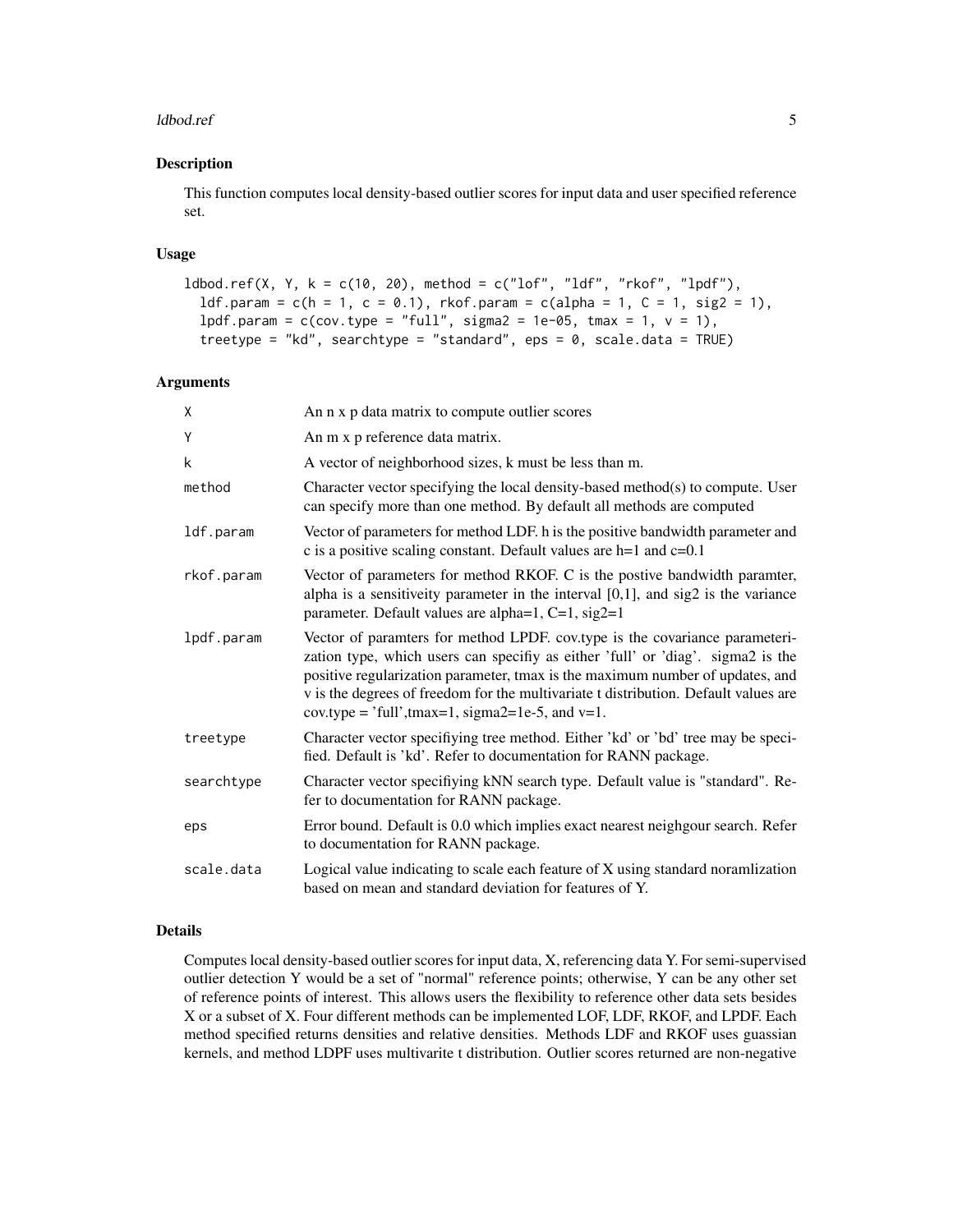#### ldbod.ref 5

#### Description

This function computes local density-based outlier scores for input data and user specified reference set.

#### Usage

```
ldbod.ref(X, Y, k = c(10, 20), method = c("lof", "ldf", "rkof", "lpdf"),
 1df.param = c(h = 1, c = 0.1), rkof.param = c(alpha = 1, C = 1, sig2 = 1),lpdf.param = c(cov.type = "full", sigma2 = 1e-05, tmax = 1, v = 1),treetype = "kd", searchtype = "standard", eps = \theta, scale.data = TRUE)
```
#### Arguments

| X          | An n x p data matrix to compute outlier scores                                                                                                                                                                                                                                                                                                                                                |
|------------|-----------------------------------------------------------------------------------------------------------------------------------------------------------------------------------------------------------------------------------------------------------------------------------------------------------------------------------------------------------------------------------------------|
| Y          | An m x p reference data matrix.                                                                                                                                                                                                                                                                                                                                                               |
| k          | A vector of neighborhood sizes, k must be less than m.                                                                                                                                                                                                                                                                                                                                        |
| method     | Character vector specifying the local density-based method(s) to compute. User<br>can specify more than one method. By default all methods are computed                                                                                                                                                                                                                                       |
| ldf.param  | Vector of parameters for method LDF. h is the positive bandwidth parameter and<br>c is a positive scaling constant. Default values are $h=1$ and $c=0.1$                                                                                                                                                                                                                                      |
| rkof.param | Vector of parameters for method RKOF. C is the postive bandwidth paramter,<br>alpha is a sensitively parameter in the interval $[0,1]$ , and sig2 is the variance<br>parameter. Default values are alpha=1, C=1, sig2=1                                                                                                                                                                       |
| lpdf.param | Vector of paramters for method LPDF. cov.type is the covariance parameteri-<br>zation type, which users can specifiy as either 'full' or 'diag'. sigma2 is the<br>positive regularization parameter, tmax is the maximum number of updates, and<br>v is the degrees of freedom for the multivariate t distribution. Default values are<br>cov.type = 'full', tmax=1, sigma2=1e-5, and $v=1$ . |
| treetype   | Character vector specifiying tree method. Either 'kd' or 'bd' tree may be speci-<br>fied. Default is 'kd'. Refer to documentation for RANN package.                                                                                                                                                                                                                                           |
| searchtype | Character vector specifiying kNN search type. Default value is "standard". Re-<br>fer to documentation for RANN package.                                                                                                                                                                                                                                                                      |
| eps        | Error bound. Default is 0.0 which implies exact nearest neighgour search. Refer<br>to documentation for RANN package.                                                                                                                                                                                                                                                                         |
| scale.data | Logical value indicating to scale each feature of X using standard noramlization<br>based on mean and standard deviation for features of Y.                                                                                                                                                                                                                                                   |

#### Details

Computes local density-based outlier scores for input data, X, referencing data Y. For semi-supervised outlier detection Y would be a set of "normal" reference points; otherwise, Y can be any other set of reference points of interest. This allows users the flexibility to reference other data sets besides X or a subset of X. Four different methods can be implemented LOF, LDF, RKOF, and LPDF. Each method specified returns densities and relative densities. Methods LDF and RKOF uses guassian kernels, and method LDPF uses multivarite t distribution. Outlier scores returned are non-negative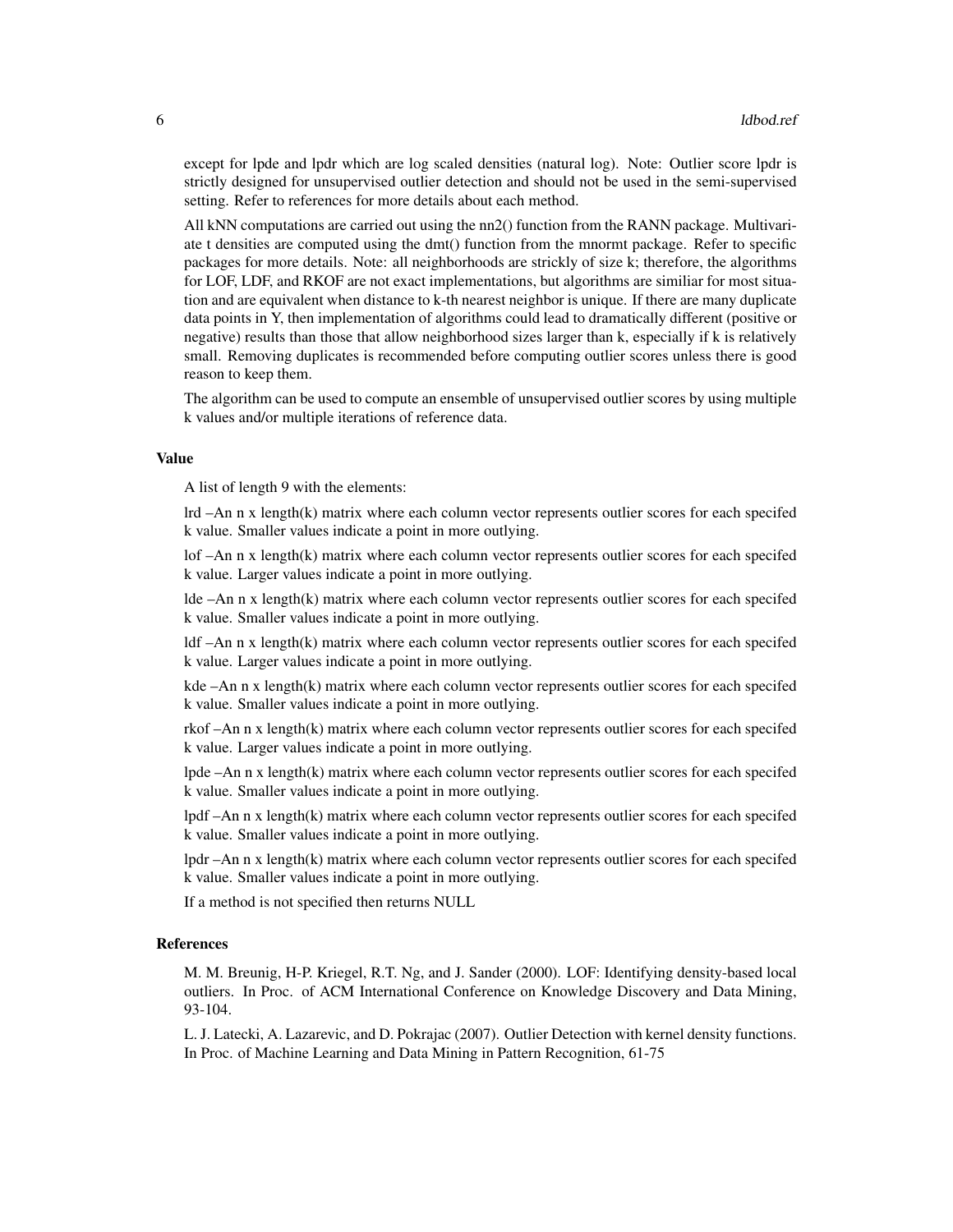except for lpde and lpdr which are log scaled densities (natural log). Note: Outlier score lpdr is strictly designed for unsupervised outlier detection and should not be used in the semi-supervised setting. Refer to references for more details about each method.

All kNN computations are carried out using the nn2() function from the RANN package. Multivariate t densities are computed using the dmt() function from the mnormt package. Refer to specific packages for more details. Note: all neighborhoods are strickly of size k; therefore, the algorithms for LOF, LDF, and RKOF are not exact implementations, but algorithms are similiar for most situation and are equivalent when distance to k-th nearest neighbor is unique. If there are many duplicate data points in Y, then implementation of algorithms could lead to dramatically different (positive or negative) results than those that allow neighborhood sizes larger than k, especially if k is relatively small. Removing duplicates is recommended before computing outlier scores unless there is good reason to keep them.

The algorithm can be used to compute an ensemble of unsupervised outlier scores by using multiple k values and/or multiple iterations of reference data.

#### Value

A list of length 9 with the elements:

lrd –An n x length(k) matrix where each column vector represents outlier scores for each specifed k value. Smaller values indicate a point in more outlying.

lof –An n x length(k) matrix where each column vector represents outlier scores for each specifed k value. Larger values indicate a point in more outlying.

lde –An n x length(k) matrix where each column vector represents outlier scores for each specifed k value. Smaller values indicate a point in more outlying.

ldf –An n x length(k) matrix where each column vector represents outlier scores for each specifed k value. Larger values indicate a point in more outlying.

kde –An n x length(k) matrix where each column vector represents outlier scores for each specifed k value. Smaller values indicate a point in more outlying.

rkof –An n x length(k) matrix where each column vector represents outlier scores for each specifed k value. Larger values indicate a point in more outlying.

lpde –An n x length(k) matrix where each column vector represents outlier scores for each specifed k value. Smaller values indicate a point in more outlying.

lpdf –An n x length(k) matrix where each column vector represents outlier scores for each specifed k value. Smaller values indicate a point in more outlying.

lpdr –An n x length(k) matrix where each column vector represents outlier scores for each specifed k value. Smaller values indicate a point in more outlying.

If a method is not specified then returns NULL

#### References

M. M. Breunig, H-P. Kriegel, R.T. Ng, and J. Sander (2000). LOF: Identifying density-based local outliers. In Proc. of ACM International Conference on Knowledge Discovery and Data Mining, 93-104.

L. J. Latecki, A. Lazarevic, and D. Pokrajac (2007). Outlier Detection with kernel density functions. In Proc. of Machine Learning and Data Mining in Pattern Recognition, 61-75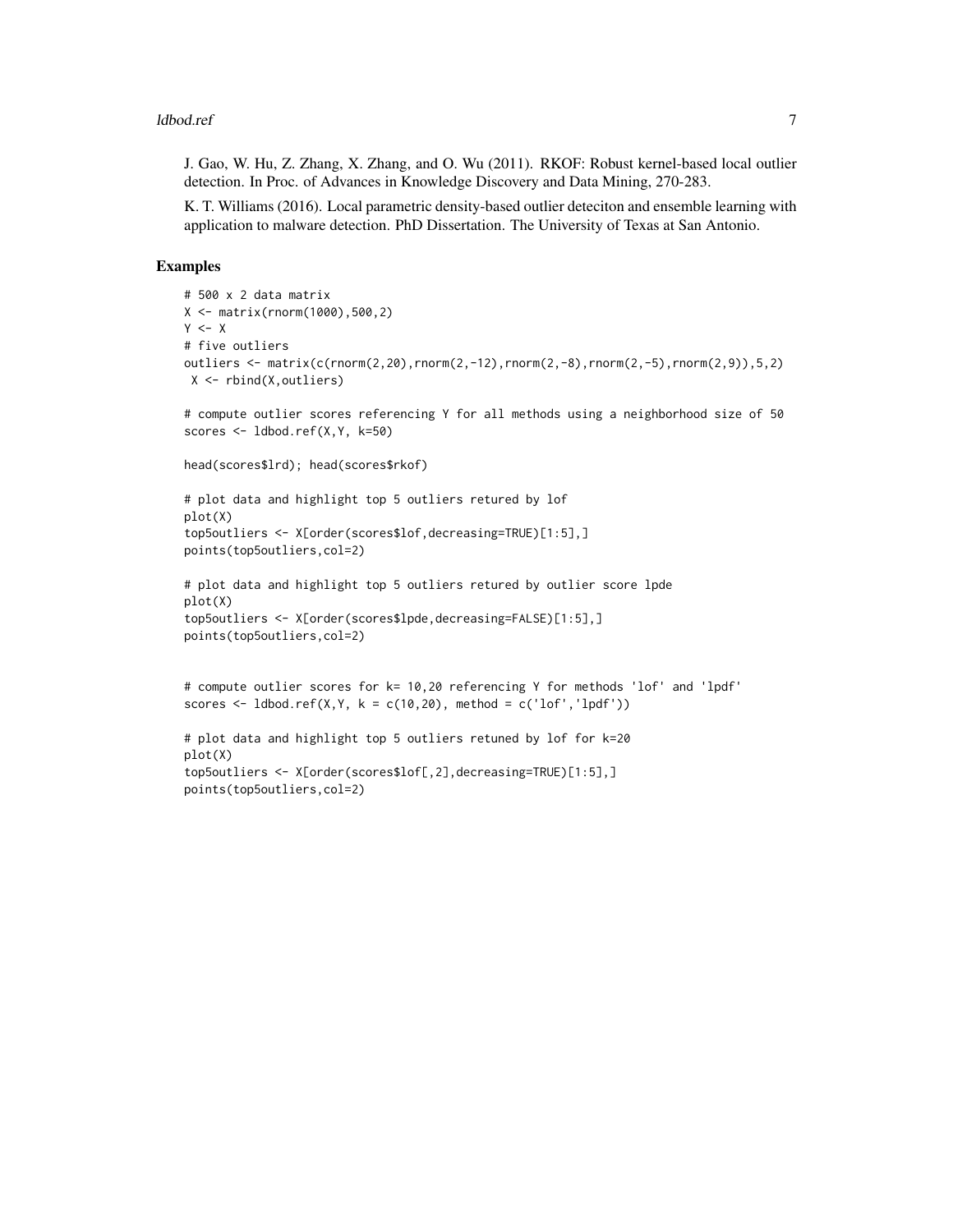#### ldbod.ref 7

J. Gao, W. Hu, Z. Zhang, X. Zhang, and O. Wu (2011). RKOF: Robust kernel-based local outlier detection. In Proc. of Advances in Knowledge Discovery and Data Mining, 270-283.

K. T. Williams (2016). Local parametric density-based outlier deteciton and ensemble learning with application to malware detection. PhD Dissertation. The University of Texas at San Antonio.

#### Examples

```
# 500 x 2 data matrix
X <- matrix(rnorm(1000),500,2)
Y \le -X# five outliers
outliers <- matrix(c(renorm(2, 20), rnorm(2, -12), rnorm(2, -8), rnorm(2, -5), rnorm(2, 9)), 5, 2)X <- rbind(X,outliers)
# compute outlier scores referencing Y for all methods using a neighborhood size of 50
scores <- ldbod.ref(X,Y, k=50)
head(scores$lrd); head(scores$rkof)
# plot data and highlight top 5 outliers retured by lof
plot(X)
top5outliers <- X[order(scores$lof,decreasing=TRUE)[1:5],]
points(top5outliers,col=2)
# plot data and highlight top 5 outliers retured by outlier score lpde
plot(X)
top5outliers <- X[order(scores$lpde,decreasing=FALSE)[1:5],]
points(top5outliers,col=2)
# compute outlier scores for k= 10,20 referencing Y for methods 'lof' and 'lpdf'
scores \leq 1dbod.ref(X,Y, k = c(10,20), method = c('lof','lpdf'))
# plot data and highlight top 5 outliers retuned by lof for k=20
plot(X)
top5outliers <- X[order(scores$lof[,2],decreasing=TRUE)[1:5],]
points(top5outliers,col=2)
```